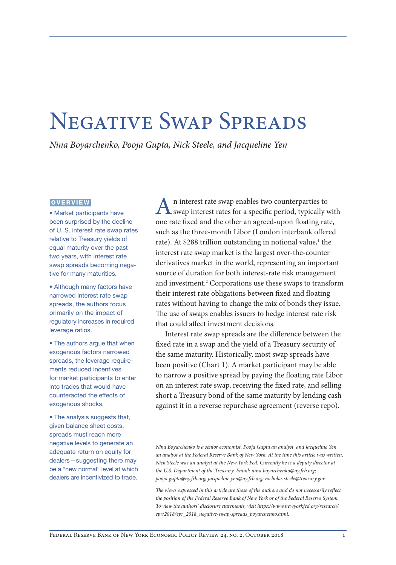# <span id="page-0-0"></span>Negative Swap Spreads

*Nina Boyarchenko, Pooja Gupta, Nick Steele, and Jacqueline Yen*

#### **OVERVIEW**

• Market participants have been surprised by the decline of U. S. interest rate swap rates relative to Treasury yields of equal maturity over the past two years, with interest rate swap spreads becoming negative for many maturities.

• Although many factors have narrowed interest rate swap spreads, the authors focus primarily on the impact of regulatory increases in required leverage ratios.

• The authors argue that when exogenous factors narrowed spreads, the leverage requirements reduced incentives for market participants to enter into trades that would have counteracted the effects of exogenous shocks.

• The analysis suggests that, given balance sheet costs, spreads must reach more negative levels to generate an adequate return on equity for dealers—suggesting there may be a "new normal" level at which dealers are incentivized to trade.

An interest rate swap enables two counterparties to swap interest rates for a specific period, typically with one rate fixed and the other an agreed-upon floating rate, such as the three-month Libor (London interbank offered rate). At \$288 trillion outstanding in notional value,<sup>1</sup> the interest rate swap market is the largest over-the-counter derivatives market in the world, representing an important source of duration for both interest-rate risk management and investment.<sup>[2](#page-12-0)</sup> Corporations use these swaps to transform their interest rate obligations between fixed and floating rates without having to change the mix of bonds they issue. The use of swaps enables issuers to hedge interest rate risk that could affect investment decisions.

Interest rate swap spreads are the difference between the fixed rate in a swap and the yield of a Treasury security of the same maturity. Historically, most swap spreads have been positive (Chart 1). A market participant may be able to narrow a positive spread by paying the floating rate Libor on an interest rate swap, receiving the fixed rate, and selling short a Treasury bond of the same maturity by lending cash against it in a reverse repurchase agreement (reverse repo).

*Nina Boyarchenko is a senior economist, Pooja Gupta an analyst, and Jacqueline Yen an analyst at the Federal Reserve Bank of New York. At the time this article was written, Nick Steele was an analyst at the New York Fed. Currently he is a deputy director at the U.S. Department of the Treasury. Email: [nina.boyarchenko@ny.frb.org;](mailto:nina.boyarchenko@ny.frb.org) [pooja.gupta@ny.frb.org](mailto:pooja.gupta@ny.frb.org); [jacqueline.yen@ny.frb.org](mailto:jacqueline.yen@ny.frb.org); [nicholas.steele@treasury.gov](mailto:nicholas.steele@treasury.gov).*

*The views expressed in this article are those of the authors and do not necessarily reflect the position of the Federal Reserve Bank of New York or of the Federal Reserve System. To view the authors' disclosure statements, visit [https://www.newyorkfed.org/research/](https://www.newyorkfed.org/research/epr/2018/epr_2018_negative-swap-spreads_boyarchenko.html) [epr/2018/epr\\_2018\\_negative-swap-spreads\\_boyarchenko.html.](https://www.newyorkfed.org/research/epr/2018/epr_2018_negative-swap-spreads_boyarchenko.html)*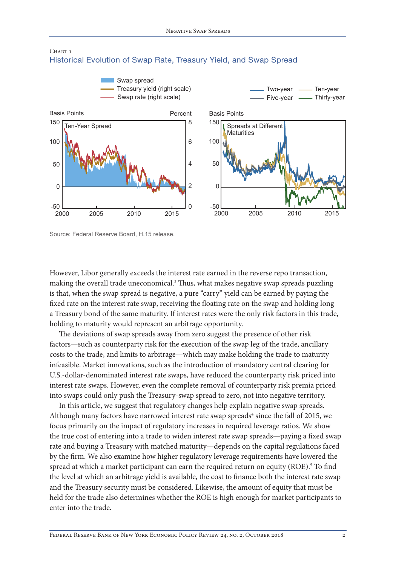

### <span id="page-1-0"></span>Chart 1 Historical Evolution of Swap Rate, Treasury Yield, and Swap Spread

However, Libor generally exceeds the interest rate earned in the reverse repo transaction, making the overall trade uneconomical.<sup>[3](#page-12-0)</sup> Thus, what makes negative swap spreads puzzling is that, when the swap spread is negative, a pure "carry" yield can be earned by paying the fixed rate on the interest rate swap, receiving the floating rate on the swap and holding long a Treasury bond of the same maturity. If interest rates were the only risk factors in this trade, holding to maturity would represent an arbitrage opportunity.

The deviations of swap spreads away from zero suggest the presence of other risk factors—such as counterparty risk for the execution of the swap leg of the trade, ancillary costs to the trade, and limits to arbitrage—which may make holding the trade to maturity infeasible. Market innovations, such as the introduction of mandatory central clearing for U.S.-dollar-denominated interest rate swaps, have reduced the counterparty risk priced into interest rate swaps. However, even the complete removal of counterparty risk premia priced into swaps could only push the Treasury-swap spread to zero, not into negative territory.

In this article, we suggest that regulatory changes help explain negative swap spreads. Although many factors have narrowed interest rate swap spreads $^4$  $^4$  since the fall of 2015, we focus primarily on the impact of regulatory increases in required leverage ratios. We show the true cost of entering into a trade to widen interest rate swap spreads—paying a fixed swap rate and buying a Treasury with matched maturity—depends on the capital regulations faced by the firm. We also examine how higher regulatory leverage requirements have lowered the spread at which a market participant can earn the required return on equity (ROE).<sup>[5](#page-12-0)</sup> To find the level at which an arbitrage yield is available, the cost to finance both the interest rate swap and the Treasury security must be considered. Likewise, the amount of equity that must be held for the trade also determines whether the ROE is high enough for market participants to enter into the trade.

Source: Federal Reserve Board, H.15 release.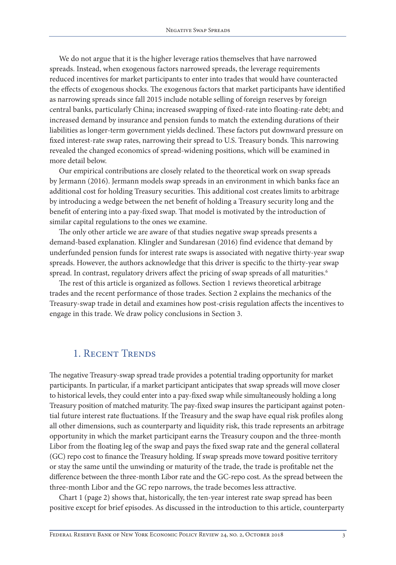<span id="page-2-0"></span>We do not argue that it is the higher leverage ratios themselves that have narrowed spreads. Instead, when exogenous factors narrowed spreads, the leverage requirements reduced incentives for market participants to enter into trades that would have counteracted the effects of exogenous shocks. The exogenous factors that market participants have identified as narrowing spreads since fall 2015 include notable selling of foreign reserves by foreign central banks, particularly China; increased swapping of fixed-rate into floating-rate debt; and increased demand by insurance and pension funds to match the extending durations of their liabilities as longer-term government yields declined. These factors put downward pressure on fixed interest-rate swap rates, narrowing their spread to U.S. Treasury bonds. This narrowing revealed the changed economics of spread-widening positions, which will be examined in more detail below.

Our empirical contributions are closely related to the theoretical work on swap spreads by Jermann (2016). Jermann models swap spreads in an environment in which banks face an additional cost for holding Treasury securities. This additional cost creates limits to arbitrage by introducing a wedge between the net benefit of holding a Treasury security long and the benefit of entering into a pay-fixed swap. That model is motivated by the introduction of similar capital regulations to the ones we examine.

The only other article we are aware of that studies negative swap spreads presents a demand-based explanation. Klingler and Sundaresan (2016) find evidence that demand by underfunded pension funds for interest rate swaps is associated with negative thirty-year swap spreads. However, the authors acknowledge that this driver is specific to the thirty-year swap spread. In contrast, regulatory drivers affect the pricing of swap spreads of all maturities.<sup>6</sup>

The rest of this article is organized as follows. Section 1 reviews theoretical arbitrage trades and the recent performance of those trades. Section 2 explains the mechanics of the Treasury-swap trade in detail and examines how post-crisis regulation affects the incentives to engage in this trade. We draw policy conclusions in Section 3.

## 1. Recent Trends

The negative Treasury-swap spread trade provides a potential trading opportunity for market participants. In particular, if a market participant anticipates that swap spreads will move closer to historical levels, they could enter into a pay-fixed swap while simultaneously holding a long Treasury position of matched maturity. The pay-fixed swap insures the participant against potential future interest rate fluctuations. If the Treasury and the swap have equal risk profiles along all other dimensions, such as counterparty and liquidity risk, this trade represents an arbitrage opportunity in which the market participant earns the Treasury coupon and the three-month Libor from the floating leg of the swap and pays the fixed swap rate and the general collateral (GC) repo cost to finance the Treasury holding. If swap spreads move toward positive territory or stay the same until the unwinding or maturity of the trade, the trade is profitable net the difference between the three-month Libor rate and the GC-repo cost. As the spread between the three-month Libor and the GC repo narrows, the trade becomes less attractive.

Chart 1 (page 2) shows that, historically, the ten-year interest rate swap spread has been positive except for brief episodes. As discussed in the introduction to this article, counterparty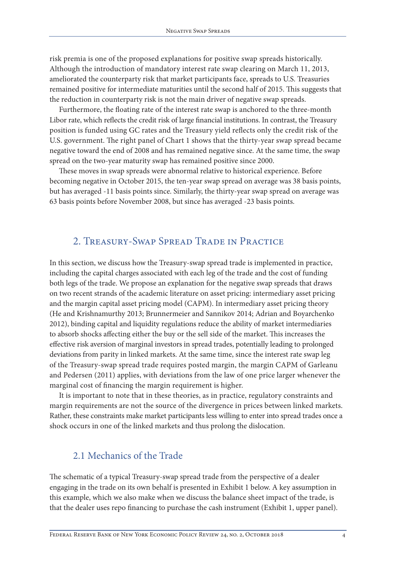risk premia is one of the proposed explanations for positive swap spreads historically. Although the introduction of mandatory interest rate swap clearing on March 11, 2013, ameliorated the counterparty risk that market participants face, spreads to U.S. Treasuries remained positive for intermediate maturities until the second half of 2015. This suggests that the reduction in counterparty risk is not the main driver of negative swap spreads.

Furthermore, the floating rate of the interest rate swap is anchored to the three-month Libor rate, which reflects the credit risk of large financial institutions. In contrast, the Treasury position is funded using GC rates and the Treasury yield reflects only the credit risk of the U.S. government. The right panel of Chart 1 shows that the thirty-year swap spread became negative toward the end of 2008 and has remained negative since. At the same time, the swap spread on the two-year maturity swap has remained positive since 2000.

These moves in swap spreads were abnormal relative to historical experience. Before becoming negative in October 2015, the ten-year swap spread on average was 38 basis points, but has averaged -11 basis points since. Similarly, the thirty-year swap spread on average was 63 basis points before November 2008, but since has averaged -23 basis points.

## 2. Treasury-Swap Spread Trade in Practice

In this section, we discuss how the Treasury-swap spread trade is implemented in practice, including the capital charges associated with each leg of the trade and the cost of funding both legs of the trade. We propose an explanation for the negative swap spreads that draws on two recent strands of the academic literature on asset pricing: intermediary asset pricing and the margin capital asset pricing model (CAPM). In intermediary asset pricing theory (He and Krishnamurthy 2013; Brunnermeier and Sannikov 2014; Adrian and Boyarchenko 2012), binding capital and liquidity regulations reduce the ability of market intermediaries to absorb shocks affecting either the buy or the sell side of the market. This increases the effective risk aversion of marginal investors in spread trades, potentially leading to prolonged deviations from parity in linked markets. At the same time, since the interest rate swap leg of the Treasury-swap spread trade requires posted margin, the margin CAPM of Garleanu and Pedersen (2011) applies, with deviations from the law of one price larger whenever the marginal cost of financing the margin requirement is higher.

It is important to note that in these theories, as in practice, regulatory constraints and margin requirements are not the source of the divergence in prices between linked markets. Rather, these constraints make market participants less willing to enter into spread trades once a shock occurs in one of the linked markets and thus prolong the dislocation.

## 2.1 Mechanics of the Trade

The schematic of a typical Treasury-swap spread trade from the perspective of a dealer engaging in the trade on its own behalf is presented in Exhibit 1 below. A key assumption in this example, which we also make when we discuss the balance sheet impact of the trade, is that the dealer uses repo financing to purchase the cash instrument (Exhibit 1, upper panel).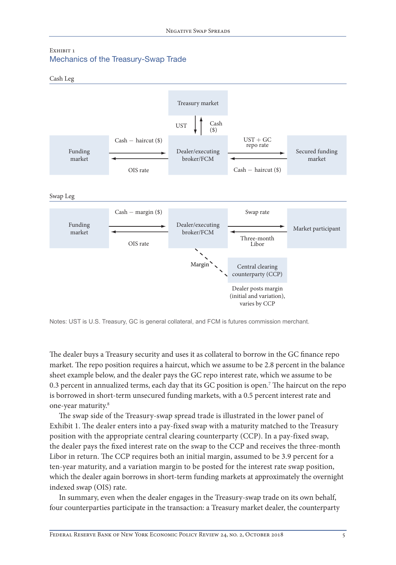#### <span id="page-4-0"></span>EXHIBIT 1 Mechanics of the Treasury-Swap Trade





Notes: UST is U.S. Treasury, GC is general collateral, and FCM is futures commission merchant.

The dealer buys a Treasury security and uses it as collateral to borrow in the GC finance repo market. The repo position requires a haircut, which we assume to be 2.8 percent in the balance sheet example below, and the dealer pays the GC repo interest rate, which we assume to be 0.3 percent in annualized terms, each day that its GC position is open.[7](#page-12-0) The haircut on the repo is borrowed in short-term unsecured funding markets, with a 0.5 percent interest rate and one-year maturity[.8](#page-12-0)

The swap side of the Treasury-swap spread trade is illustrated in the lower panel of Exhibit 1. The dealer enters into a pay-fixed swap with a maturity matched to the Treasury position with the appropriate central clearing counterparty (CCP). In a pay-fixed swap, the dealer pays the fixed interest rate on the swap to the CCP and receives the three-month Libor in return. The CCP requires both an initial margin, assumed to be 3.9 percent for a ten-year maturity, and a variation margin to be posted for the interest rate swap position, which the dealer again borrows in short-term funding markets at approximately the overnight indexed swap (OIS) rate.

In summary, even when the dealer engages in the Treasury-swap trade on its own behalf, four counterparties participate in the transaction: a Treasury market dealer, the counterparty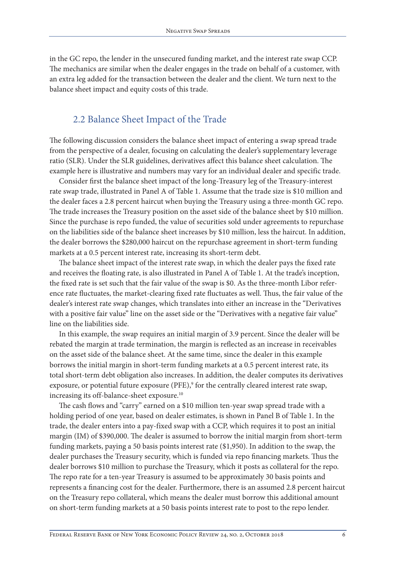<span id="page-5-0"></span>in the GC repo, the lender in the unsecured funding market, and the interest rate swap CCP. The mechanics are similar when the dealer engages in the trade on behalf of a customer, with an extra leg added for the transaction between the dealer and the client. We turn next to the balance sheet impact and equity costs of this trade.

## 2.2 Balance Sheet Impact of the Trade

The following discussion considers the balance sheet impact of entering a swap spread trade from the perspective of a dealer, focusing on calculating the dealer's supplementary leverage ratio (SLR). Under the SLR guidelines, derivatives affect this balance sheet calculation. The example here is illustrative and numbers may vary for an individual dealer and specific trade.

Consider first the balance sheet impact of the long-Treasury leg of the Treasury-interest rate swap trade, illustrated in Panel A of Table 1. Assume that the trade size is \$10 million and the dealer faces a 2.8 percent haircut when buying the Treasury using a three-month GC repo. The trade increases the Treasury position on the asset side of the balance sheet by \$10 million. Since the purchase is repo funded, the value of securities sold under agreements to repurchase on the liabilities side of the balance sheet increases by \$10 million, less the haircut. In addition, the dealer borrows the \$280,000 haircut on the repurchase agreement in short-term funding markets at a 0.5 percent interest rate, increasing its short-term debt.

The balance sheet impact of the interest rate swap, in which the dealer pays the fixed rate and receives the floating rate, is also illustrated in Panel A of Table 1. At the trade's inception, the fixed rate is set such that the fair value of the swap is \$0. As the three-month Libor reference rate fluctuates, the market-clearing fixed rate fluctuates as well. Thus, the fair value of the dealer's interest rate swap changes, which translates into either an increase in the "Derivatives with a positive fair value" line on the asset side or the "Derivatives with a negative fair value" line on the liabilities side.

In this example, the swap requires an initial margin of 3.9 percent. Since the dealer will be rebated the margin at trade termination, the margin is reflected as an increase in receivables on the asset side of the balance sheet. At the same time, since the dealer in this example borrows the initial margin in short-term funding markets at a 0.5 percent interest rate, its total short-term debt obligation also increases. In addition, the dealer computes its derivatives exposure, or potential future exposure (PFE),<sup>9</sup> for the centrally cleared interest rate swap, increasing its off-balance-sheet exposure[.10](#page-12-0)

The cash flows and "carry" earned on a \$10 million ten-year swap spread trade with a holding period of one year, based on dealer estimates, is shown in Panel B of Table 1. In the trade, the dealer enters into a pay-fixed swap with a CCP, which requires it to post an initial margin (IM) of \$390,000. The dealer is assumed to borrow the initial margin from short-term funding markets, paying a 50 basis points interest rate (\$1,950). In addition to the swap, the dealer purchases the Treasury security, which is funded via repo financing markets. Thus the dealer borrows \$10 million to purchase the Treasury, which it posts as collateral for the repo. The repo rate for a ten-year Treasury is assumed to be approximately 30 basis points and represents a financing cost for the dealer. Furthermore, there is an assumed 2.8 percent haircut on the Treasury repo collateral, which means the dealer must borrow this additional amount on short-term funding markets at a 50 basis points interest rate to post to the repo lender.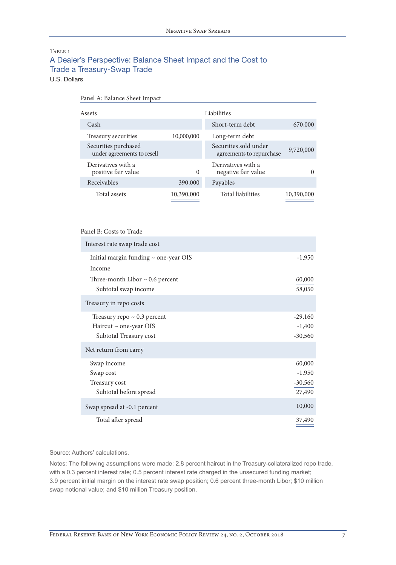#### TABLE 1 A Dealer's Perspective: Balance Sheet Impact and the Cost to Trade a Treasury-Swap Trade U.S. Dollars

| Assets                                             |            | Liabilities                                       |            |
|----------------------------------------------------|------------|---------------------------------------------------|------------|
| Cash                                               |            | Short-term debt                                   | 670,000    |
| Treasury securities                                | 10,000,000 | Long-term debt                                    |            |
| Securities purchased<br>under agreements to resell |            | Securities sold under<br>agreements to repurchase | 9,720,000  |
| Derivatives with a<br>positive fair value          | $\Omega$   | Derivatives with a<br>negative fair value         |            |
| Receivables                                        | 390,000    | Payables                                          |            |
| Total assets                                       | 10,390,000 | <b>Total liabilities</b>                          | 10,390,000 |

#### Panel B: Costs to Trade

Panel A: Balance Sheet Impact

| Interest rate swap trade cost              |           |
|--------------------------------------------|-----------|
| Initial margin funding $\sim$ one-year OIS | $-1,950$  |
| Income                                     |           |
| Three-month Libor $\sim 0.6$ percent       | 60,000    |
| Subtotal swap income                       | 58,050    |
| Treasury in repo costs                     |           |
| Treasury repo $\sim 0.3$ percent           | $-29,160$ |
| Haircut $\sim$ one-year OIS                | $-1,400$  |
| Subtotal Treasury cost                     | $-30,560$ |
| Net return from carry                      |           |
| Swap income                                | 60,000    |
| Swap cost                                  | $-1.950$  |
| Treasury cost                              | $-30,560$ |
| Subtotal before spread                     | 27,490    |
| Swap spread at -0.1 percent                | 10,000    |
| Total after spread                         | 37,490    |

Source: Authors' calculations.

Notes: The following assumptions were made: 2.8 percent haircut in the Treasury-collateralized repo trade, with a 0.3 percent interest rate; 0.5 percent interest rate charged in the unsecured funding market; 3.9 percent initial margin on the interest rate swap position; 0.6 percent three-month Libor; \$10 million swap notional value; and \$10 million Treasury position.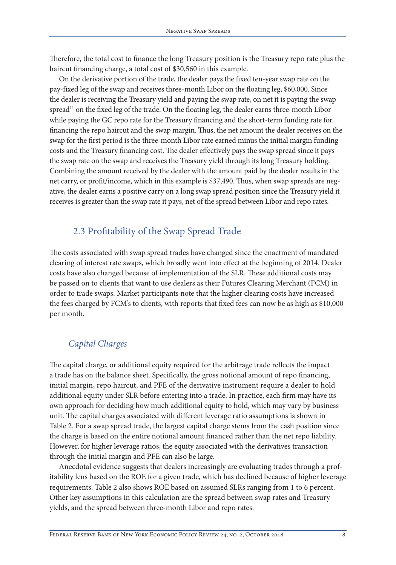<span id="page-7-0"></span>Therefore, the total cost to finance the long Treasury position is the Treasury repo rate plus the haircut financing charge, a total cost of \$30,560 in this example.

On the derivative portion of the trade, the dealer pays the fixed ten-year swap rate on the pay-fixed leg of the swap and receives three-month Libor on the floating leg, \$60,000. Since the dealer is receiving the Treasury yield and paying the swap rate, on net it is paying the swap  $spread<sup>11</sup>$  $spread<sup>11</sup>$  $spread<sup>11</sup>$  on the fixed leg of the trade. On the floating leg, the dealer earns three-month Libor while paying the GC repo rate for the Treasury financing and the short-term funding rate for financing the repo haircut and the swap margin. Thus, the net amount the dealer receives on the swap for the first period is the three-month Libor rate earned minus the initial margin funding costs and the Treasury financing cost. The dealer effectively pays the swap spread since it pays the swap rate on the swap and receives the Treasury yield through its long Treasury holding. Combining the amount received by the dealer with the amount paid by the dealer results in the net carry, or profit/income, which in this example is \$37,490. Thus, when swap spreads are negative, the dealer earns a positive carry on a long swap spread position since the Treasury yield it receives is greater than the swap rate it pays, net of the spread between Libor and repo rates.

# 2.3 Profitability of the Swap Spread Trade

The costs associated with swap spread trades have changed since the enactment of mandated clearing of interest rate swaps, which broadly went into effect at the beginning of 2014. Dealer costs have also changed because of implementation of the SLR. These additional costs may be passed on to clients that want to use dealers as their Futures Clearing Merchant (FCM) in order to trade swaps. Market participants note that the higher clearing costs have increased the fees charged by FCM's to clients, with reports that fixed fees can now be as high as \$10,000 per month.

# *Capital Charges*

The capital charge, or additional equity required for the arbitrage trade reflects the impact a trade has on the balance sheet. Specifically, the gross notional amount of repo financing, initial margin, repo haircut, and PFE of the derivative instrument require a dealer to hold additional equity under SLR before entering into a trade. In practice, each firm may have its own approach for deciding how much additional equity to hold, which may vary by business unit. The capital charges associated with different leverage ratio assumptions is shown in Table 2. For a swap spread trade, the largest capital charge stems from the cash position since the charge is based on the entire notional amount financed rather than the net repo liability. However, for higher leverage ratios, the equity associated with the derivatives transaction through the initial margin and PFE can also be large.

Anecdotal evidence suggests that dealers increasingly are evaluating trades through a profitability lens based on the ROE for a given trade, which has declined because of higher leverage requirements. Table 2 also shows ROE based on assumed SLRs ranging from 1 to 6 percent. Other key assumptions in this calculation are the spread between swap rates and Treasury yields, and the spread between three-month Libor and repo rates.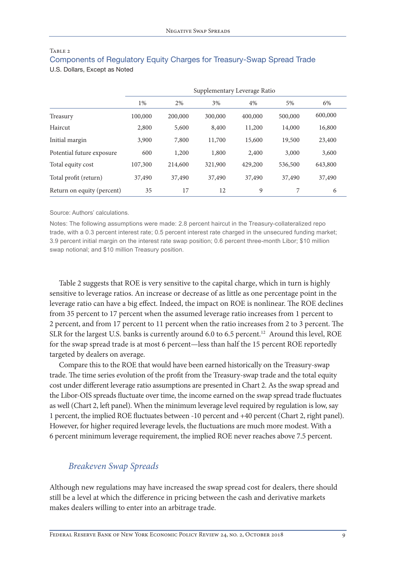<span id="page-8-0"></span>

| TABLE 2                                                                |  |
|------------------------------------------------------------------------|--|
| Components of Regulatory Equity Charges for Treasury-Swap Spread Trade |  |
| U.S. Dollars, Except as Noted                                          |  |

|                            | Supplementary Leverage Ratio |         |         |         |         |         |  |
|----------------------------|------------------------------|---------|---------|---------|---------|---------|--|
|                            | 1%                           | 2%      | 3%      | 4%      | 5%      | 6%      |  |
| Treasury                   | 100,000                      | 200,000 | 300,000 | 400,000 | 500,000 | 600,000 |  |
| Haircut                    | 2,800                        | 5,600   | 8,400   | 11,200  | 14,000  | 16,800  |  |
| Initial margin             | 3,900                        | 7,800   | 11,700  | 15,600  | 19,500  | 23,400  |  |
| Potential future exposure  | 600                          | 1,200   | 1,800   | 2,400   | 3,000   | 3,600   |  |
| Total equity cost          | 107,300                      | 214,600 | 321,900 | 429,200 | 536,500 | 643,800 |  |
| Total profit (return)      | 37,490                       | 37,490  | 37,490  | 37,490  | 37,490  | 37,490  |  |
| Return on equity (percent) | 35                           | 17      | 12      | 9       | 7       | 6       |  |

#### Source: Authors' calculations.

Notes: The following assumptions were made: 2.8 percent haircut in the Treasury-collateralized repo trade, with a 0.3 percent interest rate; 0.5 percent interest rate charged in the unsecured funding market; 3.9 percent initial margin on the interest rate swap position; 0.6 percent three-month Libor; \$10 million swap notional; and \$10 million Treasury position.

Table 2 suggests that ROE is very sensitive to the capital charge, which in turn is highly sensitive to leverage ratios. An increase or decrease of as little as one percentage point in the leverage ratio can have a big effect. Indeed, the impact on ROE is nonlinear. The ROE declines from 35 percent to 17 percent when the assumed leverage ratio increases from 1 percent to 2 percent, and from 17 percent to 11 percent when the ratio increases from 2 to 3 percent. The SLR for the largest U.S. banks is currently around 6.0 to 6.5 percent. [12](#page-12-0) Around this level, ROE for the swap spread trade is at most 6 percent—less than half the 15 percent ROE reportedly targeted by dealers on average.

Compare this to the ROE that would have been earned historically on the Treasury-swap trade. The time series evolution of the profit from the Treasury-swap trade and the total equity cost under different leverage ratio assumptions are presented in Chart 2. As the swap spread and the Libor-OIS spreads fluctuate over time, the income earned on the swap spread trade fluctuates as well (Chart 2, left panel). When the minimum leverage level required by regulation is low, say 1 percent, the implied ROE fluctuates between -10 percent and +40 percent (Chart 2, right panel). However, for higher required leverage levels, the fluctuations are much more modest. With a 6 percent minimum leverage requirement, the implied ROE never reaches above 7.5 percent.

## *Breakeven Swap Spreads*

Although new regulations may have increased the swap spread cost for dealers, there should still be a level at which the difference in pricing between the cash and derivative markets makes dealers willing to enter into an arbitrage trade.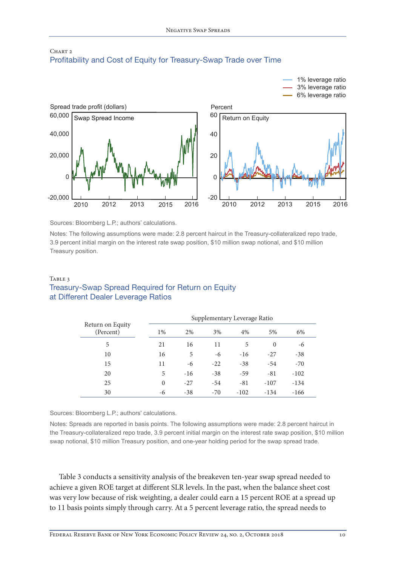

## CHART<sub>2</sub> Profitability and Cost of Equity for Treasury-Swap Trade over Time

Sources: Bloomberg L.P.; authors' calculations.

Notes: The following assumptions were made: 2.8 percent haircut in the Treasury-collateralized repo trade, 3.9 percent initial margin on the interest rate swap position, \$10 million swap notional, and \$10 million Treasury position.

#### TABLE 3 Treasury-Swap Spread Required for Return on Equity at Different Dealer Leverage Ratios

|                               |          | Supplementary Leverage Ratio |       |        |          |        |  |  |
|-------------------------------|----------|------------------------------|-------|--------|----------|--------|--|--|
| Return on Equity<br>(Percent) | $1\%$    | 2%                           | 3%    | 4%     | 5%       | 6%     |  |  |
| 5                             | 21       | 16                           | 11    | 5      | $\Omega$ | -6     |  |  |
| 10                            | 16       | 5                            | -6    | $-16$  | $-27$    | $-38$  |  |  |
| 15                            | 11       | -6                           | $-22$ | $-38$  | $-54$    | $-70$  |  |  |
| 20                            | 5        | $-16$                        | $-38$ | $-59$  | $-81$    | $-102$ |  |  |
| 25                            | $\theta$ | $-27$                        | $-54$ | $-81$  | $-107$   | $-134$ |  |  |
| 30                            | -6       | $-38$                        | $-70$ | $-102$ | $-134$   | $-166$ |  |  |

Sources: Bloomberg L.P.; authors' calculations.

Notes: Spreads are reported in basis points. The following assumptions were made: 2.8 percent haircut in the Treasury-collateralized repo trade, 3.9 percent initial margin on the interest rate swap position, \$10 million swap notional, \$10 million Treasury position, and one-year holding period for the swap spread trade.

Table 3 conducts a sensitivity analysis of the breakeven ten-year swap spread needed to achieve a given ROE target at different SLR levels. In the past, when the balance sheet cost was very low because of risk weighting, a dealer could earn a 15 percent ROE at a spread up to 11 basis points simply through carry. At a 5 percent leverage ratio, the spread needs to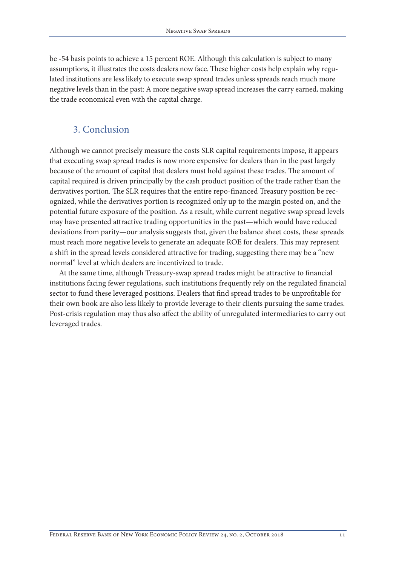be -54 basis points to achieve a 15 percent ROE. Although this calculation is subject to many assumptions, it illustrates the costs dealers now face. These higher costs help explain why regulated institutions are less likely to execute swap spread trades unless spreads reach much more negative levels than in the past: A more negative swap spread increases the carry earned, making the trade economical even with the capital charge.

# 3. Conclusion

Although we cannot precisely measure the costs SLR capital requirements impose, it appears that executing swap spread trades is now more expensive for dealers than in the past largely because of the amount of capital that dealers must hold against these trades. The amount of capital required is driven principally by the cash product position of the trade rather than the derivatives portion. The SLR requires that the entire repo-financed Treasury position be recognized, while the derivatives portion is recognized only up to the margin posted on, and the potential future exposure of the position. As a result, while current negative swap spread levels may have presented attractive trading opportunities in the past—which would have reduced deviations from parity—our analysis suggests that, given the balance sheet costs, these spreads must reach more negative levels to generate an adequate ROE for dealers. This may represent a shift in the spread levels considered attractive for trading, suggesting there may be a "new normal" level at which dealers are incentivized to trade.

At the same time, although Treasury-swap spread trades might be attractive to financial institutions facing fewer regulations, such institutions frequently rely on the regulated financial sector to fund these leveraged positions. Dealers that find spread trades to be unprofitable for their own book are also less likely to provide leverage to their clients pursuing the same trades. Post-crisis regulation may thus also affect the ability of unregulated intermediaries to carry out leveraged trades.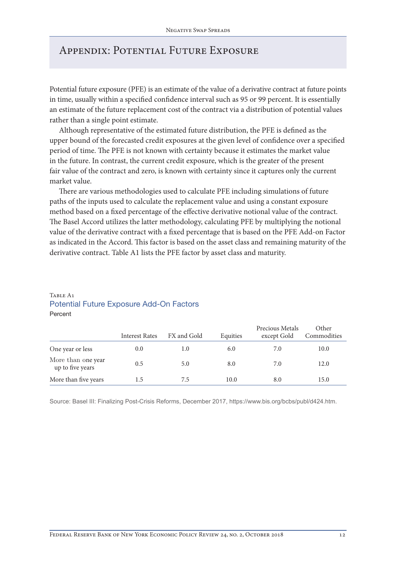# Appendix: Potential Future Exposure

Potential future exposure (PFE) is an estimate of the value of a derivative contract at future points in time, usually within a specified confidence interval such as 95 or 99 percent. It is essentially an estimate of the future replacement cost of the contract via a distribution of potential values rather than a single point estimate.

Although representative of the estimated future distribution, the PFE is defined as the upper bound of the forecasted credit exposures at the given level of confidence over a specified period of time. The PFE is not known with certainty because it estimates the market value in the future. In contrast, the current credit exposure, which is the greater of the present fair value of the contract and zero, is known with certainty since it captures only the current market value.

There are various methodologies used to calculate PFE including simulations of future paths of the inputs used to calculate the replacement value and using a constant exposure method based on a fixed percentage of the effective derivative notional value of the contract. The Basel Accord utilizes the latter methodology, calculating PFE by multiplying the notional value of the derivative contract with a fixed percentage that is based on the PFE Add-on Factor as indicated in the Accord. This factor is based on the asset class and remaining maturity of the derivative contract. Table A1 lists the PFE factor by asset class and maturity.

#### TABLE A<sub>1</sub> Potential Future Exposure Add-On Factors Percent

|                                        | <b>Interest Rates</b> | FX and Gold | Equities | Precious Metals<br>except Gold | Other<br>Commodities |
|----------------------------------------|-----------------------|-------------|----------|--------------------------------|----------------------|
| One year or less                       | 0.0                   | 1.0         | 6.0      | 7.0                            | 10.0                 |
| More than one year<br>up to five years | 0.5                   | 5.0         | 8.0      | 7.0                            | 12.0                 |
| More than five years                   | 1.5                   | 7.5         | 10.0     | 8.0                            | 15.0                 |

Source: Basel III: Finalizing Post-Crisis Reforms, December 2017, [https://www.bis.org/bcbs/publ/d424.htm.](https://www.bis.org/bcbs/publ/d424.htm)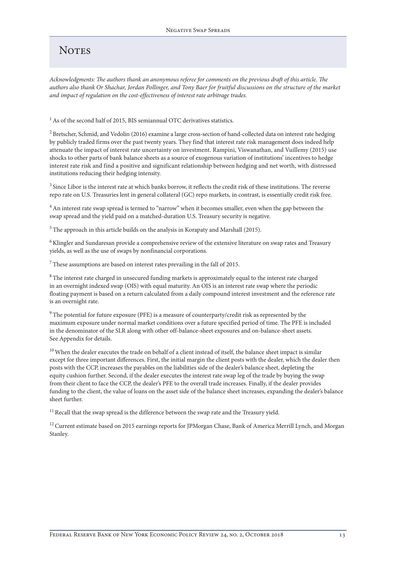# <span id="page-12-0"></span>**NOTES**

*Acknowledgments: The authors thank an anonymous referee for comments on the previous draft of this article. The authors also thank Or Shachar, Jordan Pollinger, and Tony Baer for fruitful discussions on the structure of the market and impact of regulation on the cost-effectiveness of interest rate arbitrage trades.*

 $^{\rm 1}$  As of the second half of 2015, BIS semiannual OTC derivatives statistics.

[2](#page-0-0) Bretscher, Schmid, and Vedolin (2016) examine a large cross-section of hand-collected data on interest rate hedging by publicly traded firms over the past twenty years. They find that interest rate risk management does indeed help attenuate the impact of interest rate uncertainty on investment. Rampini, Viswanathan, and Vuillemy (2015) use shocks to other parts of bank balance sheets as a source of exogenous variation of institutions' incentives to hedge interest rate risk and find a positive and significant relationship between hedging and net worth, with distressed institutions reducing their hedging intensity.

<sup>3</sup> Since Libor is the interest rate at which banks borrow, it reflects the credit risk of these institutions. The reverse repo rate on U.S. Treasuries lent in general collateral (GC) repo markets, in contrast, is essentially credit risk free.

[4](#page-1-0) An interest rate swap spread is termed to "narrow" when it becomes smaller, even when the gap between the swap spread and the yield paid on a matched-duration U.S. Treasury security is negative.

[5](#page-1-0) The approach in this article builds on the analysis in Korapaty and Marshall (2015).

[6](#page-2-0) Klingler and Sundaresan provide a comprehensive review of the extensive literature on swap rates and Treasury yields, as well as the use of swaps by nonfinancial corporations.

 $^7$  These assumptions are based on interest rates prevailing in the fall of 2015.

<sup>8</sup> The interest rate charged in unsecured funding markets is approximately equal to the interest rate charged in an overnight indexed swap (OIS) with equal maturity. An OIS is an interest rate swap where the periodic floating payment is based on a return calculated from a daily compound interest investment and the reference rate is an overnight rate.

 $9$  The potential for future exposure (PFE) is a measure of counterparty/credit risk as represented by the maximum exposure under normal market conditions over a future specified period of time. The PFE is included in the denominator of the SLR along with other off-balance-sheet exposures and on-balance-sheet assets. See Appendix for details.

<sup>10</sup> When the dealer executes the trade on behalf of a client instead of itself, the balance sheet impact is similar except for three important differences. First, the initial margin the client posts with the dealer, which the dealer then posts with the CCP, increases the payables on the liabilities side of the dealer's balance sheet, depleting the equity cushion further. Second, if the dealer executes the interest rate swap leg of the trade by buying the swap from their client to face the CCP, the dealer's PFE to the overall trade increases. Finally, if the dealer provides funding to the client, the value of loans on the asset side of the balance sheet increases, expanding the dealer's balance sheet further.

 $11$  Recall that the swap spread is the difference between the swap rate and the Treasury yield.

 $^{12}$  Current estimate based on 2015 earnings reports for JPMorgan Chase, Bank of America Merrill Lynch, and Morgan Stanley.